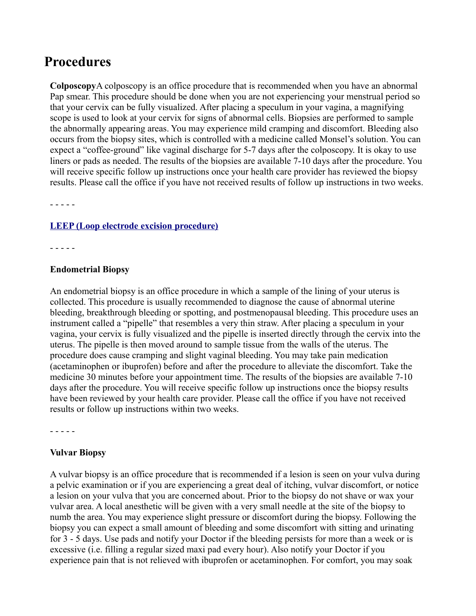# **Procedures**

**Colposcopy**A colposcopy is an office procedure that is recommended when you have an abnormal Pap smear. This procedure should be done when you are not experiencing your menstrual period so that your cervix can be fully visualized. After placing a speculum in your vagina, a magnifying scope is used to look at your cervix for signs of abnormal cells. Biopsies are performed to sample the abnormally appearing areas. You may experience mild cramping and discomfort. Bleeding also occurs from the biopsy sites, which is controlled with a medicine called Monsel's solution. You can expect a "coffee-ground" like vaginal discharge for 5-7 days after the colposcopy. It is okay to use liners or pads as needed. The results of the biopsies are available 7-10 days after the procedure. You will receive specific follow up instructions once your health care provider has reviewed the biopsy results. Please call the office if you have not received results of follow up instructions in two weeks.

- - - - -

### **[LEEP \(Loop electrode excision procedure\)](http://lakeshoreobgyn-chicago.com/forms/Lakeshore_Leep.pdf)**

- - - - -

#### **Endometrial Biopsy**

An endometrial biopsy is an office procedure in which a sample of the lining of your uterus is collected. This procedure is usually recommended to diagnose the cause of abnormal uterine bleeding, breakthrough bleeding or spotting, and postmenopausal bleeding. This procedure uses an instrument called a "pipelle" that resembles a very thin straw. After placing a speculum in your vagina, your cervix is fully visualized and the pipelle is inserted directly through the cervix into the uterus. The pipelle is then moved around to sample tissue from the walls of the uterus. The procedure does cause cramping and slight vaginal bleeding. You may take pain medication (acetaminophen or ibuprofen) before and after the procedure to alleviate the discomfort. Take the medicine 30 minutes before your appointment time. The results of the biopsies are available 7-10 days after the procedure. You will receive specific follow up instructions once the biopsy results have been reviewed by your health care provider. Please call the office if you have not received results or follow up instructions within two weeks.

- - - - -

### **Vulvar Biopsy**

A vulvar biopsy is an office procedure that is recommended if a lesion is seen on your vulva during a pelvic examination or if you are experiencing a great deal of itching, vulvar discomfort, or notice a lesion on your vulva that you are concerned about. Prior to the biopsy do not shave or wax your vulvar area. A local anesthetic will be given with a very small needle at the site of the biopsy to numb the area. You may experience slight pressure or discomfort during the biopsy. Following the biopsy you can expect a small amount of bleeding and some discomfort with sitting and urinating for 3 - 5 days. Use pads and notify your Doctor if the bleeding persists for more than a week or is excessive (i.e. filling a regular sized maxi pad every hour). Also notify your Doctor if you experience pain that is not relieved with ibuprofen or acetaminophen. For comfort, you may soak